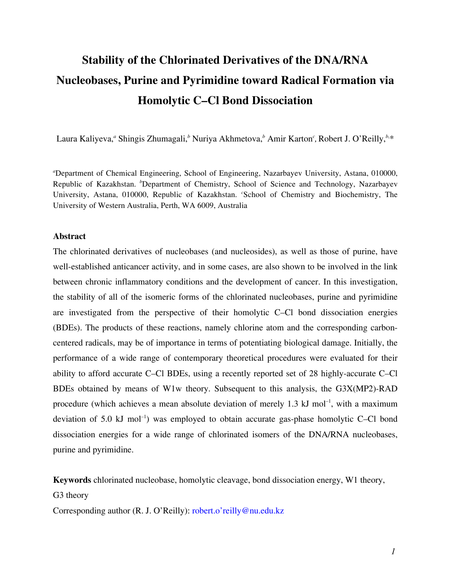# **Stability of the Chlorinated Derivatives of the DNA/RNA Nucleobases, Purine and Pyrimidine toward Radical Formation via Homolytic C–Cl Bond Dissociation**

Laura Kaliyeva," Shingis Zhumagali,<sup>b</sup> Nuriya Akhmetova,<sup>b</sup> Amir Karton<sup>c</sup>, Robert J. O'Reilly,<sup>b,\*</sup>

*a* Department of Chemical Engineering, School of Engineering, Nazarbayev University, Astana, 010000, Republic of Kazakhstan. *<sup>b</sup>* Department of Chemistry, School of Science and Technology, Nazarbayev University, Astana, 010000, Republic of Kazakhstan. *<sup>c</sup>* School of Chemistry and Biochemistry, The University of Western Australia, Perth, WA 6009, Australia

#### **Abstract**

The chlorinated derivatives of nucleobases (and nucleosides), as well as those of purine, have well-established anticancer activity, and in some cases, are also shown to be involved in the link between chronic inflammatory conditions and the development of cancer. In this investigation, the stability of all of the isomeric forms of the chlorinated nucleobases, purine and pyrimidine are investigated from the perspective of their homolytic C–Cl bond dissociation energies (BDEs). The products of these reactions, namely chlorine atom and the corresponding carboncentered radicals, may be of importance in terms of potentiating biological damage. Initially, the performance of a wide range of contemporary theoretical procedures were evaluated for their ability to afford accurate C–Cl BDEs, using a recently reported set of 28 highly-accurate C–Cl BDEs obtained by means of W1w theory. Subsequent to this analysis, the G3X(MP2)-RAD procedure (which achieves a mean absolute deviation of merely 1.3  $kJ$  mol<sup>-1</sup>, with a maximum deviation of 5.0  $kJ$  mol<sup>-1</sup>) was employed to obtain accurate gas-phase homolytic C–Cl bond dissociation energies for a wide range of chlorinated isomers of the DNA/RNA nucleobases, purine and pyrimidine.

**Keywords** chlorinated nucleobase, homolytic cleavage, bond dissociation energy, W1 theory,

G3 theory

Corresponding author (R. J. O'Reilly): robert.o'reilly@nu.edu.kz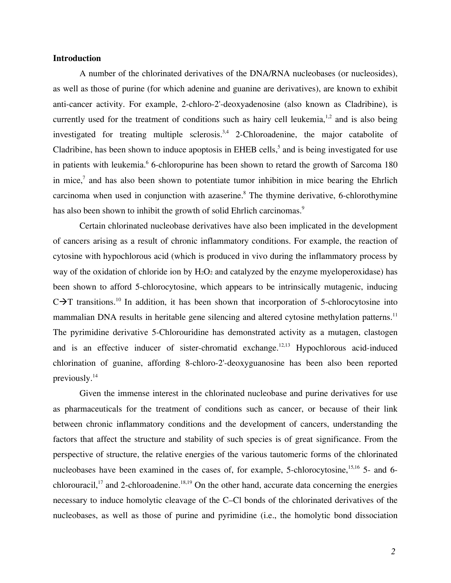#### **Introduction**

A number of the chlorinated derivatives of the DNA/RNA nucleobases (or nucleosides), as well as those of purine (for which adenine and guanine are derivatives), are known to exhibit anti-cancer activity. For example, 2-chloro-2'-deoxyadenosine (also known as Cladribine), is currently used for the treatment of conditions such as hairy cell leukemia, $1,2$  and is also being investigated for treating multiple sclerosis.<sup>3,4</sup> 2-Chloroadenine, the major catabolite of Cladribine, has been shown to induce apoptosis in EHEB cells,<sup>5</sup> and is being investigated for use in patients with leukemia. <sup>6</sup> 6-chloropurine has been shown to retard the growth of Sarcoma 180 in mice,<sup>7</sup> and has also been shown to potentiate tumor inhibition in mice bearing the Ehrlich carcinoma when used in conjunction with azaserine.<sup>8</sup> The thymine derivative, 6-chlorothymine has also been shown to inhibit the growth of solid Ehrlich carcinomas.<sup>9</sup>

Certain chlorinated nucleobase derivatives have also been implicated in the development of cancers arising as a result of chronic inflammatory conditions. For example, the reaction of cytosine with hypochlorous acid (which is produced in vivo during the inflammatory process by way of the oxidation of chloride ion by  $H_2O_2$  and catalyzed by the enzyme myeloperoxidase) has been shown to afford 5-chlorocytosine, which appears to be intrinsically mutagenic, inducing  $C\rightarrow T$  transitions.<sup>10</sup> In addition, it has been shown that incorporation of 5-chlorocytosine into mammalian DNA results in heritable gene silencing and altered cytosine methylation patterns.<sup>11</sup> The pyrimidine derivative 5-Chlorouridine has demonstrated activity as a mutagen, clastogen and is an effective inducer of sister-chromatid exchange.<sup>12,13</sup> Hypochlorous acid-induced chlorination of guanine, affording 8-chloro-2'-deoxyguanosine has been also been reported previously.14

Given the immense interest in the chlorinated nucleobase and purine derivatives for use as pharmaceuticals for the treatment of conditions such as cancer, or because of their link between chronic inflammatory conditions and the development of cancers, understanding the factors that affect the structure and stability of such species is of great significance. From the perspective of structure, the relative energies of the various tautomeric forms of the chlorinated nucleobases have been examined in the cases of, for example, 5-chlorocytosine, <sup>15,16</sup> 5- and 6chlorouracil,<sup>17</sup> and 2-chloroadenine.<sup>18,19</sup> On the other hand, accurate data concerning the energies necessary to induce homolytic cleavage of the C–Cl bonds of the chlorinated derivatives of the nucleobases, as well as those of purine and pyrimidine (i.e., the homolytic bond dissociation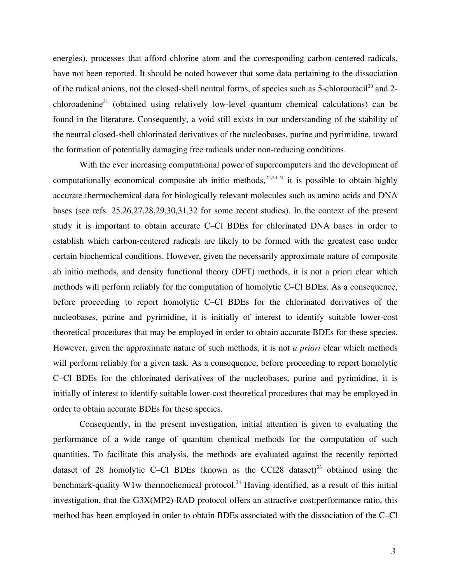energies), processes that afford chlorine atom and the corresponding carbon-centered radicals, have not been reported. It should be noted however that some data pertaining to the dissociation of the radical anions, not the closed-shell neutral forms, of species such as 5-chlorouracil<sup>20</sup> and 2 $chloroadenine<sup>21</sup>$  (obtained using relatively low-level quantum chemical calculations) can be found in the literature. Consequently, a void still exists in our understanding of the stability of the neutral closed-shell chlorinated derivatives of the nucleobases, purine and pyrimidine, toward the formation of potentially damaging free radicals under non-reducing conditions.

With the ever increasing computational power of supercomputers and the development of computationally economical composite ab initio methods,  $22,23,24$  it is possible to obtain highly accurate thermochemical data for biologically relevant molecules such as amino acids and DNA bases (see refs. 25,26,27,28,29,30,31,32 for some recent studies). In the context of the present study it is important to obtain accurate C–Cl BDEs for chlorinated DNA bases in order to establish which carbon-centered radicals are likely to be formed with the greatest ease under certain biochemical conditions. However, given the necessarily approximate nature of composite ab initio methods, and density functional theory (DFT) methods, it is not a priori clear which methods will perform reliably for the computation of homolytic C–Cl BDEs. As a consequence, before proceeding to report homolytic C–Cl BDEs for the chlorinated derivatives of the nucleobases, purine and pyrimidine, it is initially of interest to identify suitable lower-cost theoretical procedures that may be employed in order to obtain accurate BDEs for these species. However, given the approximate nature of such methods, it is not *a priori* clear which methods will perform reliably for a given task. As a consequence, before proceeding to report homolytic C–Cl BDEs for the chlorinated derivatives of the nucleobases, purine and pyrimidine, it is initially of interest to identify suitable lower-cost theoretical procedures that may be employed in order to obtain accurate BDEs for these species.

Consequently, in the present investigation, initial attention is given to evaluating the performance of a wide range of quantum chemical methods for the computation of such quantities. To facilitate this analysis, the methods are evaluated against the recently reported dataset of 28 homolytic C–Cl BDEs (known as the CCl28 dataset)<sup>33</sup> obtained using the benchmark-quality W1w thermochemical protocol.<sup>34</sup> Having identified, as a result of this initial investigation, that the G3X(MP2)-RAD protocol offers an attractive cost:performance ratio, this method has been employed in order to obtain BDEs associated with the dissociation of the C–Cl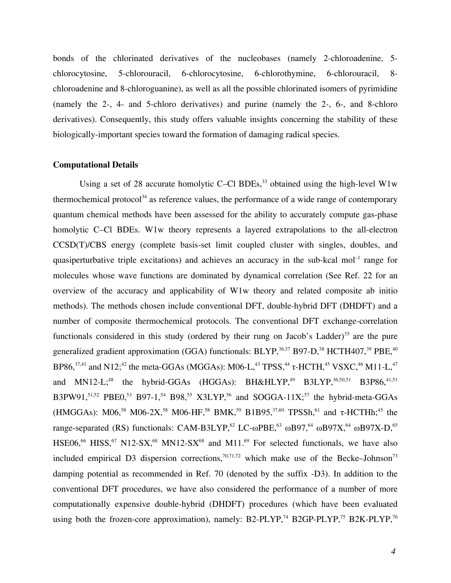bonds of the chlorinated derivatives of the nucleobases (namely 2-chloroadenine, 5 chlorocytosine, 5-chlorouracil, 6-chlorocytosine, 6-chlorothymine, 6-chlorouracil, 8 chloroadenine and 8-chloroguanine), as well as all the possible chlorinated isomers of pyrimidine (namely the 2-, 4- and 5-chloro derivatives) and purine (namely the 2-, 6-, and 8-chloro derivatives). Consequently, this study offers valuable insights concerning the stability of these biologically-important species toward the formation of damaging radical species.

#### **Computational Details**

Using a set of 28 accurate homolytic C–Cl BDEs,  $33$  obtained using the high-level W1w thermochemical protocol<sup>34</sup> as reference values, the performance of a wide range of contemporary quantum chemical methods have been assessed for the ability to accurately compute gas-phase homolytic C–Cl BDEs. W1w theory represents a layered extrapolations to the all-electron CCSD(T)/CBS energy (complete basis-set limit coupled cluster with singles, doubles, and quasiperturbative triple excitations) and achieves an accuracy in the sub-kcal mol<sup>-1</sup> range for molecules whose wave functions are dominated by dynamical correlation (See Ref. 22 for an overview of the accuracy and applicability of W1w theory and related composite ab initio methods). The methods chosen include conventional DFT, double-hybrid DFT (DHDFT) and a number of composite thermochemical protocols. The conventional DFT exchange-correlation functionals considered in this study (ordered by their rung on Jacob's Ladder)<sup>35</sup> are the pure generalized gradient approximation (GGA) functionals: BLYP,  $36,37$  B97-D,  $38$  HCTH407,  $39$  PBE,  $40$ BP86,<sup>37,41</sup> and N12;<sup>42</sup> the meta-GGAs (MGGAs): M06-L,<sup>43</sup> TPSS,<sup>44</sup> τ-HCTH,<sup>45</sup> VSXC,<sup>46</sup> M11-L,<sup>47</sup> and MN12-L;<sup>48</sup> the hybrid-GGAs (HGGAs): BH&HLYP,<sup>49</sup> B3LYP,<sup>36,50,51</sup> B3P86,<sup>41,51</sup> B3PW91,<sup>51,52</sup> PBE0,<sup>53</sup> B97-1,<sup>54</sup> B98,<sup>55</sup> X3LYP,<sup>56</sup> and SOGGA-11X;<sup>57</sup> the hybrid-meta-GGAs (HMGGAs): M06,<sup>58</sup> M06-2X,<sup>58</sup> M06-HF,<sup>58</sup> BMK,<sup>59</sup> B1B95,<sup>37,60</sup> TPSSh,<sup>61</sup> and  $\tau$ -HCTHh;<sup>45</sup> the range-separated (RS) functionals: CAM-B3LYP,<sup>62</sup> LC- $\omega$ PBE,<sup>63</sup>  $\omega$ B97,<sup>64</sup>  $\omega$ B97X,<sup>64</sup>  $\omega$ B97X-D,<sup>65</sup> HSE06,<sup>66</sup> HISS,<sup>67</sup> N12-SX,<sup>68</sup> MN12-SX<sup>68</sup> and M11.<sup>69</sup> For selected functionals, we have also included empirical D3 dispersion corrections,<sup>70,71,72</sup> which make use of the Becke–Johnson<sup>73</sup> damping potential as recommended in Ref. 70 (denoted by the suffix -D3). In addition to the conventional DFT procedures, we have also considered the performance of a number of more computationally expensive double-hybrid (DHDFT) procedures (which have been evaluated using both the frozen-core approximation), namely: B2-PLYP,<sup>74</sup> B2GP-PLYP,<sup>75</sup> B2K-PLYP,<sup>76</sup>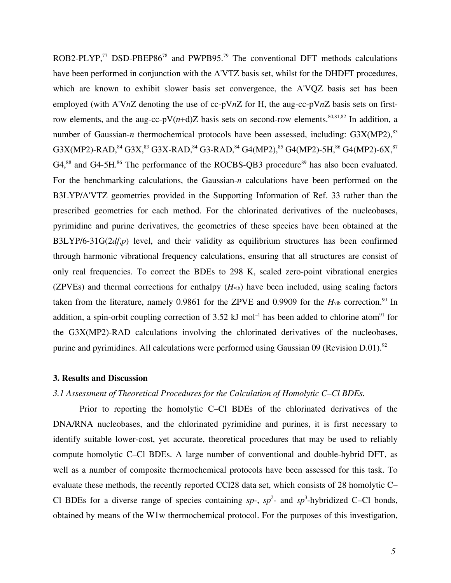ROB2-PLYP,<sup>77</sup> DSD-PBEP86<sup>78</sup> and PWPB95.<sup>79</sup> The conventional DFT methods calculations have been performed in conjunction with the A'VTZ basis set, whilst for the DHDFT procedures, which are known to exhibit slower basis set convergence, the A'VQZ basis set has been employed (with A'V*n*Z denoting the use of cc-pV*n*Z for H, the aug-cc-pV*n*Z basis sets on firstrow elements, and the aug-cc-pV $(n+d)Z$  basis sets on second-row elements.<sup>80,81,82</sup> In addition, a number of Gaussian-*n* thermochemical protocols have been assessed, including: G3X(MP2),<sup>83</sup>  $\rm G3X(MP2)$ -RAD, $^{84}$   $\rm G3X, ^{83}$   $\rm G3X$ -RAD, $^{84}$   $\rm G3$ -RAD, $^{84}$   $\rm G4(MP2), ^{85}$   $\rm G4(MP2)$ -5H, $^{86}$   $\rm G4(MP2)$ -6X, $^{87}$ G4,<sup>88</sup> and G4-5H.<sup>86</sup> The performance of the ROCBS-QB3 procedure<sup>89</sup> has also been evaluated. For the benchmarking calculations, the Gaussian-*n* calculations have been performed on the B3LYP/A'VTZ geometries provided in the Supporting Information of Ref. 33 rather than the prescribed geometries for each method. For the chlorinated derivatives of the nucleobases, pyrimidine and purine derivatives, the geometries of these species have been obtained at the B3LYP/6-31G(2*df*,*p*) level, and their validity as equilibrium structures has been confirmed through harmonic vibrational frequency calculations, ensuring that all structures are consist of only real frequencies. To correct the BDEs to 298 K, scaled zero-point vibrational energies (ZPVEs) and thermal corrections for enthalpy  $(H<sub>vib</sub>)$  have been included, using scaling factors taken from the literature, namely 0.9861 for the ZPVE and 0.9909 for the  $H<sub>vib</sub>$  correction.<sup>90</sup> In addition, a spin-orbit coupling correction of 3.52 kJ mol<sup>-1</sup> has been added to chlorine atom<sup>91</sup> for the G3X(MP2)-RAD calculations involving the chlorinated derivatives of the nucleobases, purine and pyrimidines. All calculations were performed using Gaussian 09 (Revision D.01).<sup>92</sup>

#### **3. Results and Discussion**

## *3.1 Assessment of Theoretical Procedures for the Calculation of Homolytic C–Cl BDEs.*

Prior to reporting the homolytic C–Cl BDEs of the chlorinated derivatives of the DNA/RNA nucleobases, and the chlorinated pyrimidine and purines, it is first necessary to identify suitable lower-cost, yet accurate, theoretical procedures that may be used to reliably compute homolytic C–Cl BDEs. A large number of conventional and double-hybrid DFT, as well as a number of composite thermochemical protocols have been assessed for this task. To evaluate these methods, the recently reported CCl28 data set, which consists of 28 homolytic C– Cl BDEs for a diverse range of species containing  $sp-$ ,  $sp^2$ - and  $sp^3$ -hybridized C–Cl bonds, obtained by means of the W1w thermochemical protocol. For the purposes of this investigation,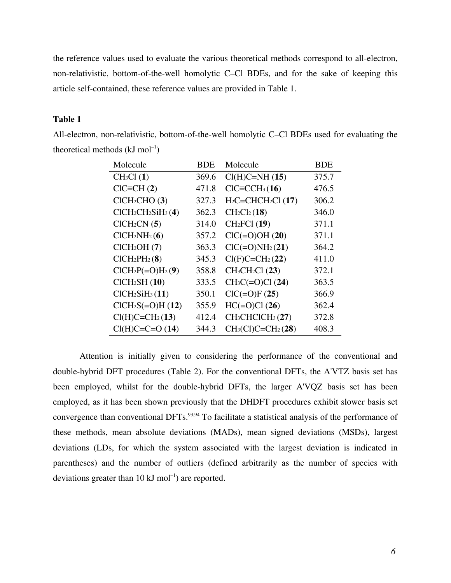the reference values used to evaluate the various theoretical methods correspond to all-electron, non-relativistic, bottom-of-the-well homolytic C–Cl BDEs, and for the sake of keeping this article self-contained, these reference values are provided in Table 1.

## **Table 1**

| Molecule                                | <b>BDE</b> | Molecule                                 | <b>BDE</b> |
|-----------------------------------------|------------|------------------------------------------|------------|
| CH <sub>3</sub> Cl(1)                   | 369.6      | $Cl(H)C=NH(15)$                          | 375.7      |
| $CIC=CH(2)$                             | 471.8      | $CIC = CCH3(16)$                         | 476.5      |
| ClCH <sub>2</sub> CHO(3)                | 327.3      | $H_2C=CHCH_2Cl(17)$                      | 306.2      |
| $ClCH2CH2SiH3(4)$                       | 362.3      | CH <sub>2</sub> Cl <sub>2</sub> (18)     | 346.0      |
| CICH <sub>2</sub> CN(5)                 | 314.0      | CH <sub>2</sub> FCI (19)                 | 371.1      |
| ClCH <sub>2</sub> NH <sub>2</sub> (6)   | 357.2      | $ClC(=O)OH(20)$                          | 371.1      |
| ClCH <sub>2</sub> OH(7)                 | 363.3      | $ClC(=O)NH2(21)$                         | 364.2      |
| ClCH <sub>2</sub> PH <sub>2</sub> (8)   | 345.3      | $Cl(F)C=CH2(22)$                         | 411.0      |
| $ClCH2P(=O)H2(9)$                       | 358.8      | $CH3CH2Cl$ (23)                          | 372.1      |
| CICH <sub>2</sub> SH(10)                | 333.5      | $CH3C (=O)Cl (24)$                       | 363.5      |
| ClCH <sub>2</sub> SiH <sub>3</sub> (11) | 350.1      | $ClC = O F(25)$                          | 366.9      |
| $CICH2S(=O)H(12)$                       | 355.9      | $HC(=O)Cl (26)$                          | 362.4      |
| $Cl(H)C=CH2(13)$                        | 412.4      | CH <sub>3</sub> CHClCH <sub>3</sub> (27) | 372.8      |
| $Cl(H)C=C=O(14)$                        | 344.3      | $CH3(Cl)C=CH2(28)$                       | 408.3      |

All-electron, non-relativistic, bottom-of-the-well homolytic C–Cl BDEs used for evaluating the theoretical methods  $(kJ \text{ mol}^{-1})$ 

Attention is initially given to considering the performance of the conventional and double-hybrid DFT procedures (Table 2). For the conventional DFTs, the A'VTZ basis set has been employed, whilst for the double-hybrid DFTs, the larger A'VQZ basis set has been employed, as it has been shown previously that the DHDFT procedures exhibit slower basis set convergence than conventional DFTs.<sup>93,94</sup> To facilitate a statistical analysis of the performance of these methods, mean absolute deviations (MADs), mean signed deviations (MSDs), largest deviations (LDs, for which the system associated with the largest deviation is indicated in parentheses) and the number of outliers (defined arbitrarily as the number of species with deviations greater than  $10 \text{ kJ}$  mol<sup>-1</sup>) are reported.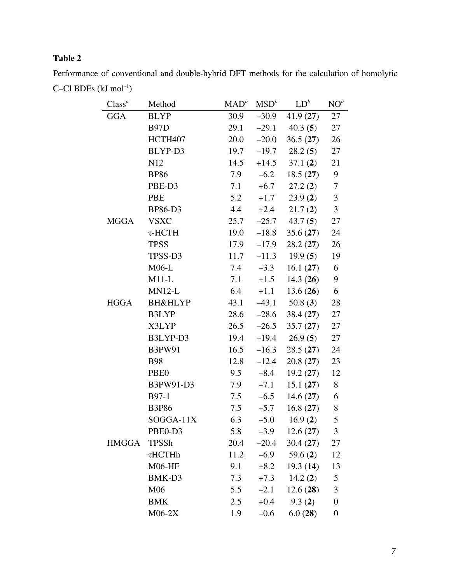# **Table 2**

| Class <sup>a</sup> | Method              | $\text{MAD}^b$ | MSD <sup>b</sup> | $LD^b$     | NO <sup>b</sup>  |
|--------------------|---------------------|----------------|------------------|------------|------------------|
| <b>GGA</b>         | <b>BLYP</b>         | 30.9           | $-30.9$          | 41.9(27)   | 27               |
|                    | <b>B97D</b>         | 29.1           | $-29.1$          | 40.3(5)    | 27               |
|                    | HCTH <sub>407</sub> | 20.0           | $-20.0$          | 36.5(27)   | 26               |
|                    | BLYP-D3             | 19.7           | $-19.7$          | 28.2(5)    | 27               |
|                    | N12                 | 14.5           | $+14.5$          | 37.1(2)    | 21               |
|                    | <b>BP86</b>         | 7.9            | $-6.2$           | 18.5(27)   | 9                |
|                    | PBE-D3              | 7.1            | $+6.7$           | 27.2(2)    | $\tau$           |
|                    | <b>PBE</b>          | 5.2            | $+1.7$           | 23.9(2)    | $\mathfrak{Z}$   |
|                    | <b>BP86-D3</b>      | 4.4            | $+2.4$           | 21.7(2)    | $\mathfrak{Z}$   |
| <b>MGGA</b>        | <b>VSXC</b>         | 25.7           | $-25.7$          | 43.7(5)    | 27               |
|                    | $\tau$ -HCTH        | 19.0           | $-18.8$          | 35.6(27)   | 24               |
|                    | <b>TPSS</b>         | 17.9           | $-17.9$          | 28.2(27)   | 26               |
|                    | TPSS-D3             | 11.7           | $-11.3$          | 19.9(5)    | 19               |
|                    | $M06-L$             | 7.4            | $-3.3$           | 16.1(27)   | 6                |
|                    | $M11-L$             | 7.1            | $+1.5$           | 14.3(26)   | 9                |
|                    | $MN12-L$            | 6.4            | $+1.1$           | 13.6(26)   | 6                |
| <b>HGGA</b>        | <b>BH&amp;HLYP</b>  | 43.1           | $-43.1$          | 50.8 $(3)$ | 28               |
|                    | B3LYP               | 28.6           | $-28.6$          | 38.4(27)   | 27               |
|                    | X3LYP               | 26.5           | $-26.5$          | 35.7(27)   | 27               |
|                    | B3LYP-D3            | 19.4           | $-19.4$          | 26.9(5)    | 27               |
|                    | <b>B3PW91</b>       | 16.5           | $-16.3$          | 28.5(27)   | 24               |
|                    | <b>B98</b>          | 12.8           | $-12.4$          | 20.8(27)   | 23               |
|                    | PBE <sub>0</sub>    | 9.5            | $-8.4$           | 19.2(27)   | 12               |
|                    | B3PW91-D3           | 7.9            | $-7.1$           | 15.1(27)   | 8                |
|                    | B97-1               | 7.5            | $-6.5$           | 14.6(27)   | 6                |
|                    | <b>B3P86</b>        | 7.5            | $-5.7$           | 16.8(27)   | 8                |
|                    | SOGGA-11X           | 6.3            | $-5.0$           | 16.9(2)    | 5                |
|                    | PBE0-D3             | 5.8            | $-3.9$           | 12.6(27)   | 3                |
| <b>HMGGA</b>       | <b>TPSSh</b>        | 20.4           | $-20.4$          | 30.4(27)   | 27               |
|                    | $\tau$ HCTHh        | 11.2           | $-6.9$           | 59.6 $(2)$ | 12               |
|                    | $M06$ -HF           | 9.1            | $+8.2$           | 19.3(14)   | 13               |
|                    | BMK-D3              | 7.3            | $+7.3$           | 14.2(2)    | 5                |
|                    | M06                 | 5.5            | $-2.1$           | 12.6(28)   | 3                |
|                    | <b>BMK</b>          | 2.5            | $+0.4$           | 9.3(2)     | $\boldsymbol{0}$ |
|                    | $M06-2X$            | 1.9            | $-0.6$           | 6.0(28)    | $\boldsymbol{0}$ |

Performance of conventional and double-hybrid DFT methods for the calculation of homolytic C–Cl BDEs  $(kJ \mod^{-1})$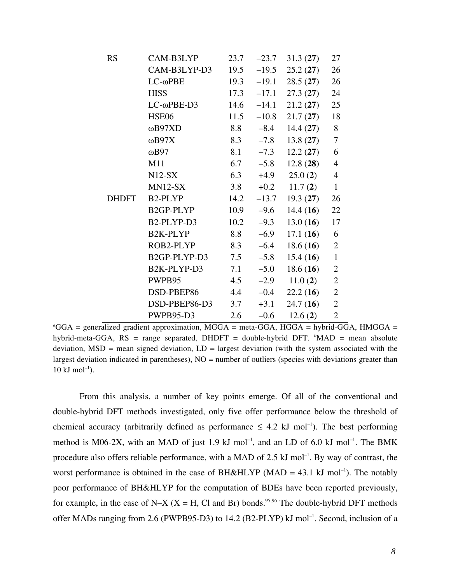| <b>RS</b>    | CAM-B3LYP                           | 23.7 | $-23.7$ | 31.3(27) | 27             |
|--------------|-------------------------------------|------|---------|----------|----------------|
|              | CAM-B3LYP-D3                        | 19.5 | $-19.5$ | 25.2(27) | 26             |
|              | $LC$ - $\omega$ PBE                 | 19.3 | $-19.1$ | 28.5(27) | 26             |
|              | <b>HISS</b>                         | 17.3 | $-17.1$ | 27.3(27) | 24             |
|              | $LC$ - $\omega$ PBE-D3              | 14.6 | $-14.1$ | 21.2(27) | 25             |
|              | <b>HSE06</b>                        | 11.5 | $-10.8$ | 21.7(27) | 18             |
|              | ωB97XD                              | 8.8  | $-8.4$  | 14.4(27) | 8              |
|              | $\omega$ B97X                       | 8.3  | $-7.8$  | 13.8(27) | $\overline{7}$ |
|              | $\omega$ B97                        | 8.1  | $-7.3$  | 12.2(27) | 6              |
|              | M11                                 | 6.7  | $-5.8$  | 12.8(28) | $\overline{4}$ |
|              | $N12-SX$                            | 6.3  | $+4.9$  | 25.0(2)  | $\overline{4}$ |
|              | $MN12-SX$                           | 3.8  | $+0.2$  | 11.7(2)  | $\mathbf{1}$   |
| <b>DHDFT</b> | B <sub>2</sub> -PLYP                | 14.2 | $-13.7$ | 19.3(27) | 26             |
|              | B2GP-PLYP                           | 10.9 | $-9.6$  | 14.4(16) | 22             |
|              | B <sub>2</sub> -PLYP-D <sub>3</sub> | 10.2 | $-9.3$  | 13.0(16) | 17             |
|              | B2K-PLYP                            | 8.8  | $-6.9$  | 17.1(16) | 6              |
|              | ROB2-PLYP                           | 8.3  | $-6.4$  | 18.6(16) | $\overline{2}$ |
|              | B2GP-PLYP-D3                        | 7.5  | $-5.8$  | 15.4(16) | $\mathbf{1}$   |
|              | B2K-PLYP-D3                         | 7.1  | $-5.0$  | 18.6(16) | $\overline{2}$ |
|              | PWPB95                              | 4.5  | $-2.9$  | 11.0(2)  | $\overline{2}$ |
|              | DSD-PBEP86                          | 4.4  | $-0.4$  | 22.2(16) | $\overline{2}$ |
|              | DSD-PBEP86-D3                       | 3.7  | $+3.1$  | 24.7(16) | $\overline{2}$ |
|              | PWPB95-D3                           | 2.6  | $-0.6$  | 12.6(2)  | $\overline{2}$ |

<sup>a</sup>GGA = generalized gradient approximation, MGGA = meta-GGA, HGGA = hybrid-GGA, HMGGA = hybrid-meta-GGA, RS = range separated, DHDFT = double-hybrid DFT. <sup>b</sup>MAD = mean absolute deviation,  $MSD$  = mean signed deviation,  $LD =$  largest deviation (with the system associated with the largest deviation indicated in parentheses),  $NO =$  number of outliers (species with deviations greater than  $10 \text{ kJ mol}^{-1}$ ).

From this analysis, a number of key points emerge. Of all of the conventional and double-hybrid DFT methods investigated, only five offer performance below the threshold of chemical accuracy (arbitrarily defined as performance  $\leq 4.2$  kJ mol<sup>-1</sup>). The best performing method is M06-2X, with an MAD of just 1.9 kJ mol<sup>-1</sup>, and an LD of 6.0 kJ mol<sup>-1</sup>. The BMK procedure also offers reliable performance, with a MAD of  $2.5 \text{ kJ}$  mol<sup>-1</sup>. By way of contrast, the worst performance is obtained in the case of BH&HLYP (MAD =  $43.1 \text{ kJ mol}^{-1}$ ). The notably poor performance of BH&HLYP for the computation of BDEs have been reported previously, for example, in the case of N–X (X = H, Cl and Br) bonds.<sup>95,96</sup> The double-hybrid DFT methods offer MADs ranging from 2.6 (PWPB95-D3) to 14.2 (B2-PLYP) kJ mol<sup>-1</sup>. Second, inclusion of a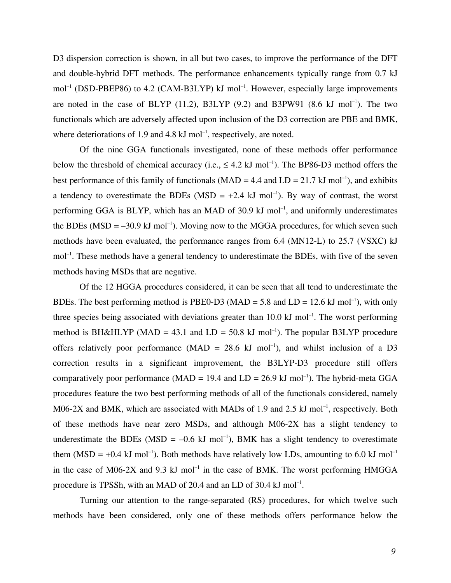D3 dispersion correction is shown, in all but two cases, to improve the performance of the DFT and double-hybrid DFT methods. The performance enhancements typically range from 0.7 kJ  $mol<sup>-1</sup>$  (DSD-PBEP86) to 4.2 (CAM-B3LYP) kJ mol<sup>-1</sup>. However, especially large improvements are noted in the case of BLYP  $(11.2)$ , B3LYP  $(9.2)$  and B3PW91  $(8.6 \text{ kJ mol}^{-1})$ . The two functionals which are adversely affected upon inclusion of the D3 correction are PBE and BMK, where deteriorations of 1.9 and 4.8  $kJ$  mol<sup>-1</sup>, respectively, are noted.

Of the nine GGA functionals investigated, none of these methods offer performance below the threshold of chemical accuracy (i.e.,  $\leq 4.2$  kJ mol<sup>-1</sup>). The BP86-D3 method offers the best performance of this family of functionals ( $MAD = 4.4$  and  $LD = 21.7$  kJ mol<sup>-1</sup>), and exhibits a tendency to overestimate the BDEs (MSD =  $+2.4$  kJ mol<sup>-1</sup>). By way of contrast, the worst performing GGA is BLYP, which has an MAD of 30.9 kJ mol<sup>-1</sup>, and uniformly underestimates the BDEs (MSD =  $-30.9$  kJ mol<sup>-1</sup>). Moving now to the MGGA procedures, for which seven such methods have been evaluated, the performance ranges from 6.4 (MN12-L) to 25.7 (VSXC) kJ mol<sup>-1</sup>. These methods have a general tendency to underestimate the BDEs, with five of the seven methods having MSDs that are negative.

Of the 12 HGGA procedures considered, it can be seen that all tend to underestimate the BDEs. The best performing method is PBE0-D3 (MAD = 5.8 and LD = 12.6 kJ mol<sup>-1</sup>), with only three species being associated with deviations greater than  $10.0 \text{ kJ}$  mol<sup>-1</sup>. The worst performing method is BH&HLYP (MAD = 43.1 and  $LD = 50.8 \text{ kJ mol}^{-1}$ ). The popular B3LYP procedure offers relatively poor performance (MAD =  $28.6 \text{ kJ} \text{ mol}^{-1}$ ), and whilst inclusion of a D3 correction results in a significant improvement, the B3LYP-D3 procedure still offers comparatively poor performance (MAD = 19.4 and  $LD = 26.9 \text{ kJ mol}^{-1}$ ). The hybrid-meta GGA procedures feature the two best performing methods of all of the functionals considered, namely M06-2X and BMK, which are associated with MADs of 1.9 and 2.5  $kJ$  mol<sup>-1</sup>, respectively. Both of these methods have near zero MSDs, and although M06-2X has a slight tendency to underestimate the BDEs (MSD =  $-0.6$  kJ mol<sup>-1</sup>), BMK has a slight tendency to overestimate them (MSD = +0.4 kJ mol<sup>-1</sup>). Both methods have relatively low LDs, amounting to 6.0 kJ mol<sup>-1</sup> in the case of M06-2X and 9.3 kJ mol<sup>-1</sup> in the case of BMK. The worst performing HMGGA procedure is TPSSh, with an MAD of 20.4 and an LD of 30.4 kJ mol<sup>-1</sup>.

Turning our attention to the range-separated (RS) procedures, for which twelve such methods have been considered, only one of these methods offers performance below the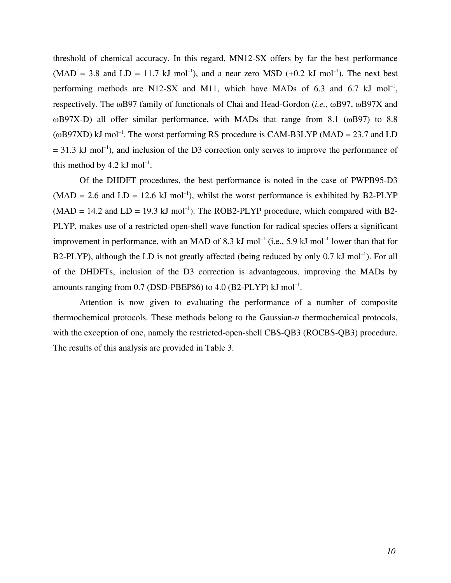threshold of chemical accuracy. In this regard, MN12-SX offers by far the best performance  $(MAD = 3.8$  and  $LD = 11.7$  kJ mol<sup>-1</sup>), and a near zero MSD  $(+0.2$  kJ mol<sup>-1</sup>). The next best performing methods are N12-SX and M11, which have MADs of 6.3 and 6.7 kJ mol<sup>-1</sup>, respectively. The ωB97 family of functionals of Chai and Head-Gordon (*i.e.*, ωB97, ωB97X and ωB97X-D) all offer similar performance, with MADs that range from 8.1 (ωB97) to 8.8  $(\omega B97XD)$  kJ mol<sup>-1</sup>. The worst performing RS procedure is CAM-B3LYP (MAD = 23.7 and LD  $= 31.3$  kJ mol<sup>-1</sup>), and inclusion of the D3 correction only serves to improve the performance of this method by 4.2 kJ mol<sup>-1</sup>.

Of the DHDFT procedures, the best performance is noted in the case of PWPB95-D3  $(MAD = 2.6$  and  $LD = 12.6$  kJ mol<sup>-1</sup>), whilst the worst performance is exhibited by B2-PLYP  $(MAD = 14.2$  and  $LD = 19.3$  kJ mol<sup>-1</sup>). The ROB2-PLYP procedure, which compared with B2-PLYP, makes use of a restricted open-shell wave function for radical species offers a significant improvement in performance, with an MAD of 8.3 kJ mol<sup>-1</sup> (i.e., 5.9 kJ mol<sup>-1</sup> lower than that for B2-PLYP), although the LD is not greatly affected (being reduced by only  $0.7 \text{ kJ mol}^{-1}$ ). For all of the DHDFTs, inclusion of the D3 correction is advantageous, improving the MADs by amounts ranging from  $0.7$  (DSD-PBEP86) to  $4.0$  (B2-PLYP) kJ mol<sup>-1</sup>.

Attention is now given to evaluating the performance of a number of composite thermochemical protocols. These methods belong to the Gaussian-*n* thermochemical protocols, with the exception of one, namely the restricted-open-shell CBS-QB3 (ROCBS-QB3) procedure. The results of this analysis are provided in Table 3.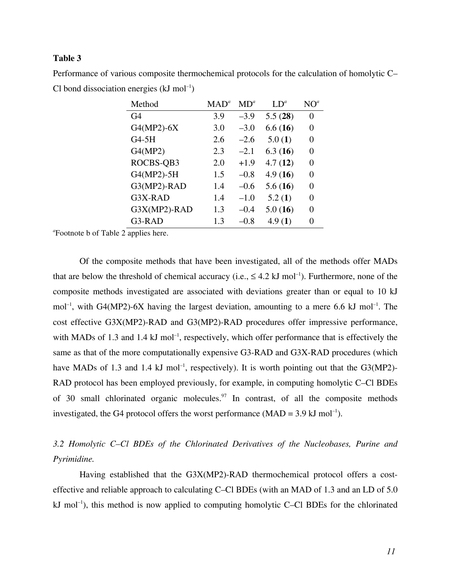#### **Table 3**

Performance of various composite thermochemical protocols for the calculation of homolytic C– Cl bond dissociation energies  $(kJ \text{ mol}^{-1})$ 

| Method         | $\mathbf{MAD}^{a}$ | MD <sup>a</sup> | $LD^a$  | $NO^a$ |
|----------------|--------------------|-----------------|---------|--------|
| G4             | 3.9                | $-3.9$          | 5.5(28) | 0      |
| $G4(MP2) - 6X$ | 3.0                | $-3.0$          | 6.6(16) | 0      |
| G4-5H          | 2.6                | $-2.6$          | 5.0(1)  | 0      |
| G4(MP2)        | 2.3                | $-2.1$          | 6.3(16) | 0      |
| ROCBS-QB3      | 2.0                | $+1.9$          | 4.7(12) | 0      |
| G4(MP2)-5H     | 1.5                | $-0.8$          | 4.9(16) | 0      |
| G3(MP2)-RAD    | 1.4                | $-0.6$          | 5.6(16) | 0      |
| G3X-RAD        | 1.4                | $-1.0$          | 5.2(1)  | 0      |
| G3X(MP2)-RAD   | 1.3                | $-0.4$          | 5.0(16) | 0      |
| G3-RAD         | 1.3                | $-0.8$          | 4.9(1)  | 0      |

*a* Footnote b of Table 2 applies here.

Of the composite methods that have been investigated, all of the methods offer MADs that are below the threshold of chemical accuracy (i.e.,  $\leq 4.2$  kJ mol<sup>-1</sup>). Furthermore, none of the composite methods investigated are associated with deviations greater than or equal to 10 kJ mol<sup>-1</sup>, with G4(MP2)-6X having the largest deviation, amounting to a mere 6.6 kJ mol<sup>-1</sup>. The cost effective G3X(MP2)-RAD and G3(MP2)-RAD procedures offer impressive performance, with MADs of 1.3 and 1.4  $kJ$  mol<sup>-1</sup>, respectively, which offer performance that is effectively the same as that of the more computationally expensive G3-RAD and G3X-RAD procedures (which have MADs of 1.3 and 1.4 kJ mol<sup>-1</sup>, respectively). It is worth pointing out that the G3(MP2)-RAD protocol has been employed previously, for example, in computing homolytic C–Cl BDEs of 30 small chlorinated organic molecules. <sup>97</sup> In contrast, of all the composite methods investigated, the G4 protocol offers the worst performance  $(MAD = 3.9 \text{ kJ mol}^{-1})$ .

# *3.2 Homolytic C–Cl BDEs of the Chlorinated Derivatives of the Nucleobases, Purine and Pyrimidine.*

Having established that the G3X(MP2)-RAD thermochemical protocol offers a costeffective and reliable approach to calculating C–Cl BDEs (with an MAD of 1.3 and an LD of 5.0  $kJ$  mol<sup>-1</sup>), this method is now applied to computing homolytic C–Cl BDEs for the chlorinated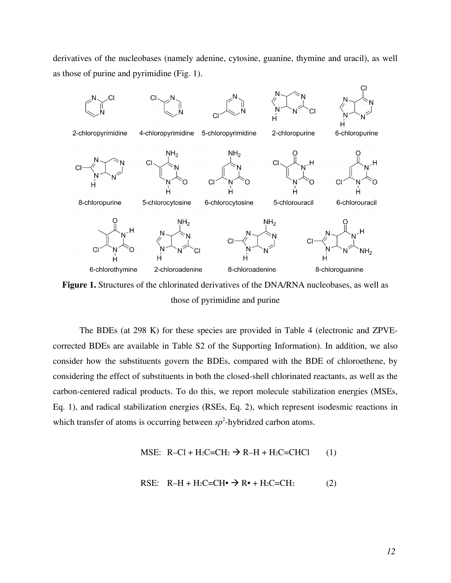derivatives of the nucleobases (namely adenine, cytosine, guanine, thymine and uracil), as well as those of purine and pyrimidine (Fig. 1).



Figure 1. Structures of the chlorinated derivatives of the DNA/RNA nucleobases, as well as those of pyrimidine and purine

The BDEs (at 298 K) for these species are provided in Table 4 (electronic and ZPVEcorrected BDEs are available in Table S2 of the Supporting Information). In addition, we also consider how the substituents govern the BDEs, compared with the BDE of chloroethene, by considering the effect of substituents in both the closed-shell chlorinated reactants, as well as the carbon-centered radical products. To do this, we report molecule stabilization energies (MSEs, Eq. 1), and radical stabilization energies (RSEs, Eq. 2), which represent isodesmic reactions in which transfer of atoms is occurring between  $sp^2$ -hybridzed carbon atoms.

$$
\text{MSE: R--Cl} + \text{H}_2\text{C}=\text{CH}_2 \rightarrow \text{R--H} + \text{H}_2\text{C}=\text{CHCl} \qquad (1)
$$

$$
RSE: R-H + H_2C = CH \bullet \Rightarrow R \bullet + H_2C = CH_2
$$
 (2)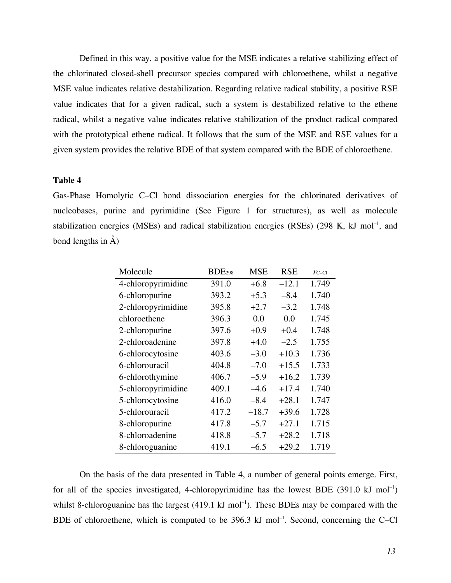Defined in this way, a positive value for the MSE indicates a relative stabilizing effect of the chlorinated closed-shell precursor species compared with chloroethene, whilst a negative MSE value indicates relative destabilization. Regarding relative radical stability, a positive RSE value indicates that for a given radical, such a system is destabilized relative to the ethene radical, whilst a negative value indicates relative stabilization of the product radical compared with the prototypical ethene radical. It follows that the sum of the MSE and RSE values for a given system provides the relative BDE of that system compared with the BDE of chloroethene.

#### **Table 4**

Gas-Phase Homolytic C–Cl bond dissociation energies for the chlorinated derivatives of nucleobases, purine and pyrimidine (See Figure 1 for structures), as well as molecule stabilization energies (MSEs) and radical stabilization energies (RSEs) (298 K, kJ mol<sup>-1</sup>, and bond lengths in Å)

| Molecule           | <b>BDE298</b> | <b>MSE</b> | <b>RSE</b> | $r_{\text{C}-\text{Cl}}$ |
|--------------------|---------------|------------|------------|--------------------------|
| 4-chloropyrimidine | 391.0         | $+6.8$     | $-12.1$    | 1.749                    |
| 6-chloropurine     | 393.2         | $+5.3$     | $-8.4$     | 1.740                    |
| 2-chloropyrimidine | 395.8         | $+2.7$     | $-3.2$     | 1.748                    |
| chloroethene       | 396.3         | 0.0        | 0.0        | 1.745                    |
| 2-chloropurine     | 397.6         | $+0.9$     | $+0.4$     | 1.748                    |
| 2-chloroadenine    | 397.8         | $+4.0$     | $-2.5$     | 1.755                    |
| 6-chlorocytosine   | 403.6         | $-3.0$     | $+10.3$    | 1.736                    |
| 6-chlorouracil     | 404.8         | $-7.0$     | $+15.5$    | 1.733                    |
| 6-chlorothymine    | 406.7         | $-5.9$     | $+16.2$    | 1.739                    |
| 5-chloropyrimidine | 409.1         | $-4.6$     | $+17.4$    | 1.740                    |
| 5-chlorocytosine   | 416.0         | $-8.4$     | $+28.1$    | 1.747                    |
| 5-chlorouracil     | 417.2         | $-18.7$    | $+39.6$    | 1.728                    |
| 8-chloropurine     | 417.8         | $-5.7$     | $+27.1$    | 1.715                    |
| 8-chloroadenine    | 418.8         | $-5.7$     | $+28.2$    | 1.718                    |
| 8-chloroguanine    | 419.1         | $-6.5$     | $+29.2$    | 1.719                    |

On the basis of the data presented in Table 4, a number of general points emerge. First, for all of the species investigated, 4-chloropyrimidine has the lowest BDE  $(391.0 \text{ kJ mol}^{-1})$ whilst 8-chloroguanine has the largest  $(419.1 \text{ kJ mol}^{-1})$ . These BDEs may be compared with the BDE of chloroethene, which is computed to be  $396.3 \text{ kJ mol}^{-1}$ . Second, concerning the C-Cl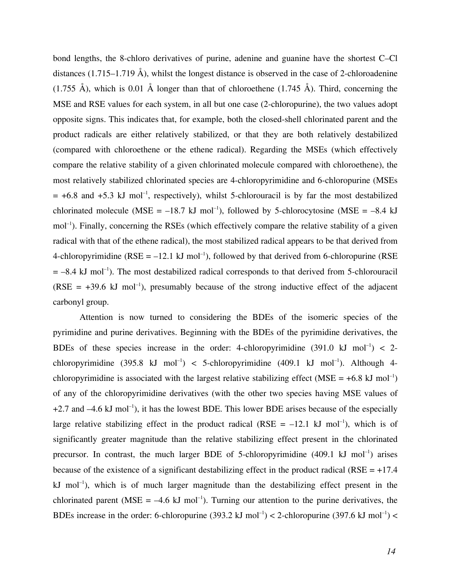bond lengths, the 8-chloro derivatives of purine, adenine and guanine have the shortest C–Cl distances (1.715–1.719 Å), whilst the longest distance is observed in the case of 2-chloroadenine (1.755 Å), which is 0.01 Å longer than that of chloroethene (1.745 Å). Third, concerning the MSE and RSE values for each system, in all but one case (2-chloropurine), the two values adopt opposite signs. This indicates that, for example, both the closed-shell chlorinated parent and the product radicals are either relatively stabilized, or that they are both relatively destabilized (compared with chloroethene or the ethene radical). Regarding the MSEs (which effectively compare the relative stability of a given chlorinated molecule compared with chloroethene), the most relatively stabilized chlorinated species are 4-chloropyrimidine and 6-chloropurine (MSEs  $= +6.8$  and  $+5.3$  kJ mol<sup>-1</sup>, respectively), whilst 5-chlorouracil is by far the most destabilized chlorinated molecule (MSE =  $-18.7 \text{ kJ}$  mol<sup>-1</sup>), followed by 5-chlorocytosine (MSE =  $-8.4 \text{ kJ}$ mol<sup>-1</sup>). Finally, concerning the RSEs (which effectively compare the relative stability of a given radical with that of the ethene radical), the most stabilized radical appears to be that derived from 4-chloropyrimidine ( $RSE = -12.1$  kJ mol<sup>-1</sup>), followed by that derived from 6-chloropurine ( $RSE$  $= -8.4$  kJ mol<sup>-1</sup>). The most destabilized radical corresponds to that derived from 5-chlorouracil (RSE =  $+39.6$  kJ mol<sup>-1</sup>), presumably because of the strong inductive effect of the adjacent carbonyl group.

Attention is now turned to considering the BDEs of the isomeric species of the pyrimidine and purine derivatives. Beginning with the BDEs of the pyrimidine derivatives, the BDEs of these species increase in the order: 4-chloropyrimidine  $(391.0 \text{ kJ mol}^{-1}) < 2$ chloropyrimidine  $(395.8 \text{ kJ mol}^{-1})$  < 5-chloropyrimidine  $(409.1 \text{ kJ mol}^{-1})$ . Although 4chloropyrimidine is associated with the largest relative stabilizing effect (MSE =  $+6.8$  kJ mol<sup>-1</sup>) of any of the chloropyrimidine derivatives (with the other two species having MSE values of  $+2.7$  and  $-4.6$  kJ mol<sup>-1</sup>), it has the lowest BDE. This lower BDE arises because of the especially large relative stabilizing effect in the product radical (RSE =  $-12.1 \text{ kJ mol}^{-1}$ ), which is of significantly greater magnitude than the relative stabilizing effect present in the chlorinated precursor. In contrast, the much larger BDE of 5-chloropyrimidine  $(409.1 \text{ kJ mol}^{-1})$  arises because of the existence of a significant destabilizing effect in the product radical ( $RSE = +17.4$ ) kJ mol<sup>-1</sup>), which is of much larger magnitude than the destabilizing effect present in the chlorinated parent (MSE =  $-4.6$  kJ mol<sup>-1</sup>). Turning our attention to the purine derivatives, the BDEs increase in the order: 6-chloropurine  $(393.2 \text{ kJ mol}^{-1}) < 2$ -chloropurine  $(397.6 \text{ kJ mol}^{-1}) <$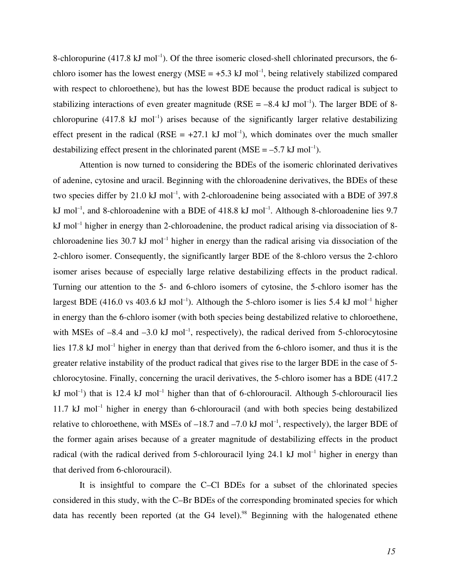8-chloropurine  $(417.8 \text{ kJ mol}^{-1})$ . Of the three isomeric closed-shell chlorinated precursors, the 6chloro isomer has the lowest energy ( $MSE = +5.3$  kJ mol<sup>-1</sup>, being relatively stabilized compared with respect to chloroethene), but has the lowest BDE because the product radical is subject to stabilizing interactions of even greater magnitude ( $RSE = -8.4 \text{ kJ mol}^{-1}$ ). The larger BDE of 8chloropurine  $(417.8 \text{ kJ mol}^{-1})$  arises because of the significantly larger relative destabilizing effect present in the radical (RSE =  $+27.1$  kJ mol<sup>-1</sup>), which dominates over the much smaller destabilizing effect present in the chlorinated parent (MSE =  $-5.7$  kJ mol<sup>-1</sup>).

Attention is now turned to considering the BDEs of the isomeric chlorinated derivatives of adenine, cytosine and uracil. Beginning with the chloroadenine derivatives, the BDEs of these two species differ by 21.0 kJ mol<sup>-1</sup>, with 2-chloroadenine being associated with a BDE of 397.8 kJ mol<sup>-1</sup>, and 8-chloroadenine with a BDE of 418.8 kJ mol<sup>-1</sup>. Although 8-chloroadenine lies 9.7 kJ mol<sup>-1</sup> higher in energy than 2-chloroadenine, the product radical arising via dissociation of 8chloroadenine lies 30.7 kJ mol<sup>-1</sup> higher in energy than the radical arising via dissociation of the 2-chloro isomer. Consequently, the significantly larger BDE of the 8-chloro versus the 2-chloro isomer arises because of especially large relative destabilizing effects in the product radical. Turning our attention to the 5- and 6-chloro isomers of cytosine, the 5-chloro isomer has the largest BDE (416.0 vs 403.6 kJ mol<sup>-1</sup>). Although the 5-chloro isomer is lies 5.4 kJ mol<sup>-1</sup> higher in energy than the 6-chloro isomer (with both species being destabilized relative to chloroethene, with MSEs of  $-8.4$  and  $-3.0$  kJ mol<sup>-1</sup>, respectively), the radical derived from 5-chlorocytosine lies 17.8 kJ mol<sup>-1</sup> higher in energy than that derived from the 6-chloro isomer, and thus it is the greater relative instability of the product radical that gives rise to the larger BDE in the case of 5 chlorocytosine. Finally, concerning the uracil derivatives, the 5-chloro isomer has a BDE (417.2 kJ mol<sup>-1</sup>) that is 12.4 kJ mol<sup>-1</sup> higher than that of 6-chlorouracil. Although 5-chlorouracil lies 11.7 kJ mol<sup>-1</sup> higher in energy than 6-chlorouracil (and with both species being destabilized relative to chloroethene, with MSEs of  $-18.7$  and  $-7.0$  kJ mol<sup>-1</sup>, respectively), the larger BDE of the former again arises because of a greater magnitude of destabilizing effects in the product radical (with the radical derived from 5-chlorouracil lying  $24.1 \text{ kJ}$  mol<sup>-1</sup> higher in energy than that derived from 6-chlorouracil).

It is insightful to compare the C–Cl BDEs for a subset of the chlorinated species considered in this study, with the C–Br BDEs of the corresponding brominated species for which data has recently been reported (at the G4 level).<sup>98</sup> Beginning with the halogenated ethene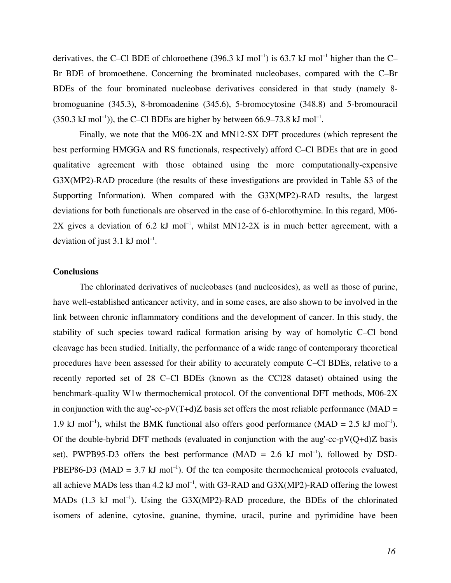derivatives, the C–Cl BDE of chloroethene (396.3 kJ mol<sup>-1</sup>) is 63.7 kJ mol<sup>-1</sup> higher than the C– Br BDE of bromoethene. Concerning the brominated nucleobases, compared with the C–Br BDEs of the four brominated nucleobase derivatives considered in that study (namely 8 bromoguanine (345.3), 8-bromoadenine (345.6), 5-bromocytosine (348.8) and 5-bromouracil  $(350.3 \text{ kJ mol}^{-1})$ , the C–Cl BDEs are higher by between 66.9–73.8 kJ mol<sup>-1</sup>.

Finally, we note that the M06-2X and MN12-SX DFT procedures (which represent the best performing HMGGA and RS functionals, respectively) afford C–Cl BDEs that are in good qualitative agreement with those obtained using the more computationally-expensive G3X(MP2)-RAD procedure (the results of these investigations are provided in Table S3 of the Supporting Information). When compared with the G3X(MP2)-RAD results, the largest deviations for both functionals are observed in the case of 6-chlorothymine. In this regard, M06- 2X gives a deviation of 6.2 kJ mol<sup>-1</sup>, whilst MN12-2X is in much better agreement, with a deviation of just 3.1 kJ mol<sup>-1</sup>.

## **Conclusions**

The chlorinated derivatives of nucleobases (and nucleosides), as well as those of purine, have well-established anticancer activity, and in some cases, are also shown to be involved in the link between chronic inflammatory conditions and the development of cancer. In this study, the stability of such species toward radical formation arising by way of homolytic C–Cl bond cleavage has been studied. Initially, the performance of a wide range of contemporary theoretical procedures have been assessed for their ability to accurately compute C–Cl BDEs, relative to a recently reported set of 28 C–Cl BDEs (known as the CCl28 dataset) obtained using the benchmark-quality W1w thermochemical protocol. Of the conventional DFT methods, M06-2X in conjunction with the aug'-cc-pV(T+d)Z basis set offers the most reliable performance (MAD = 1.9 kJ mol<sup>-1</sup>), whilst the BMK functional also offers good performance (MAD = 2.5 kJ mol<sup>-1</sup>). Of the double-hybrid DFT methods (evaluated in conjunction with the aug'-cc-pV(Q+d)Z basis set), PWPB95-D3 offers the best performance  $(MAD = 2.6 \text{ kJ mol}^{-1})$ , followed by DSD-PBEP86-D3 (MAD = 3.7 kJ mol<sup>-1</sup>). Of the ten composite thermochemical protocols evaluated, all achieve MADs less than 4.2  $kJ$  mol<sup>-1</sup>, with G3-RAD and G3X(MP2)-RAD offering the lowest MADs  $(1.3 \text{ kJ mol}^{-1})$ . Using the G3X(MP2)-RAD procedure, the BDEs of the chlorinated isomers of adenine, cytosine, guanine, thymine, uracil, purine and pyrimidine have been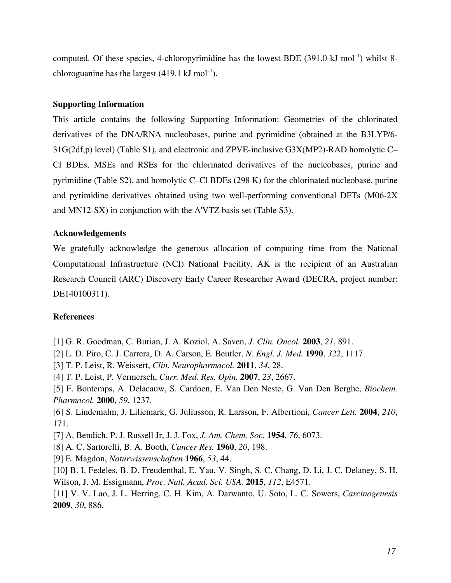computed. Of these species, 4-chloropyrimidine has the lowest BDE  $(391.0 \text{ kJ mol}^{-1})$  whilst 8chloroguanine has the largest  $(419.1 \text{ kJ mol}^{-1})$ .

#### **Supporting Information**

This article contains the following Supporting Information: Geometries of the chlorinated derivatives of the DNA/RNA nucleobases, purine and pyrimidine (obtained at the B3LYP/6- 31G(2df,p) level) (Table S1), and electronic and ZPVE-inclusive G3X(MP2)-RAD homolytic C– Cl BDEs, MSEs and RSEs for the chlorinated derivatives of the nucleobases, purine and pyrimidine (Table S2), and homolytic C–Cl BDEs (298 K) for the chlorinated nucleobase, purine and pyrimidine derivatives obtained using two well-performing conventional DFTs (M06-2X and MN12-SX) in conjunction with the A'VTZ basis set (Table S3).

#### **Acknowledgements**

We gratefully acknowledge the generous allocation of computing time from the National Computational Infrastructure (NCI) National Facility. AK is the recipient of an Australian Research Council (ARC) Discovery Early Career Researcher Award (DECRA, project number: DE140100311).

#### **References**

[1] G. R. Goodman, C. Burian, J. A. Koziol, A. Saven, *J. Clin. Oncol.* **2003**, *21*, 891.

- [2] L. D. Piro, C. J. Carrera, D. A. Carson, E. Beutler, *N. Engl. J. Med.* **1990**, *322*, 1117.
- [3] T. P. Leist, R. Weissert, *Clin. Neuropharmacol.* **2011**, *34*, 28.
- [4] T. P. Leist, P. Vermersch, *Curr. Med. Res. Opin.* **2007**, *23*, 2667.
- [5] F. Bontemps, A. Delacauw, S. Cardoen, E. Van Den Neste, G. Van Den Berghe, *Biochem. Pharmacol.* **2000**, *59*, 1237.
- [6] S. Lindemalm, J. Liliemark, G. Juliusson, R. Larsson, F. Albertioni, *Cancer Lett.* **2004**, *210*, 171.
- [7] A. Bendich, P. J. Russell Jr, J. J. Fox, *J. Am. Chem. Soc.* **1954**, *76*, 6073.
- [8] A. C. Sartorelli, B. A. Booth, *Cancer Res.* **1960**, *20*, 198.
- [9] E. Magdon, *Naturwissenschaften* **1966**, *53*, 44.
- [10] B. I. Fedeles, B. D. Freudenthal, E. Yau, V. Singh, S. C. Chang, D. Li, J. C. Delaney, S. H. Wilson, J. M. Essigmann, *Proc. Natl. Acad. Sci. USA.* **2015**, *112*, E4571.
- [11] V. V. Lao, J. L. Herring, C. H. Kim, A. Darwanto, U. Soto, L. C. Sowers, *Carcinogenesis* **2009**, *30*, 886.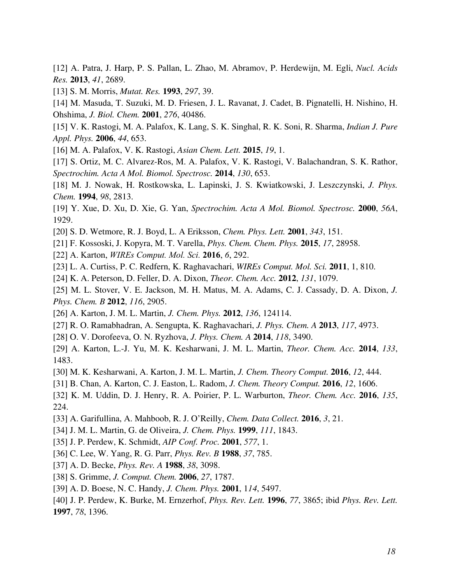[12] A. Patra, J. Harp, P. S. Pallan, L. Zhao, M. Abramov, P. Herdewijn, M. Egli, *Nucl. Acids Res.* **2013**, *41*, 2689.

[13] S. M. Morris, *Mutat. Res.* **1993**, *297*, 39.

[14] M. Masuda, T. Suzuki, M. D. Friesen, J. L. Ravanat, J. Cadet, B. Pignatelli, H. Nishino, H. Ohshima, *J. Biol. Chem.* **2001**, *276*, 40486.

[15] V. K. Rastogi, M. A. Palafox, K. Lang, S. K. Singhal, R. K. Soni, R. Sharma, *Indian J. Pure Appl. Phys.* **2006**, *44*, 653.

[16] M. A. Palafox, V. K. Rastogi, *Asian Chem. Lett.* **2015**, *19*, 1.

[17] S. Ortiz, M. C. Alvarez-Ros, M. A. Palafox, V. K. Rastogi, V. Balachandran, S. K. Rathor, *Spectrochim. Acta A Mol. Biomol. Spectrosc.* **2014**, *130*, 653.

[18] M. J. Nowak, H. Rostkowska, L. Lapinski, J. S. Kwiatkowski, J. Leszczynski, *J. Phys. Chem.* **1994**, *98*, 2813.

[19] Y. Xue, D. Xu, D. Xie, G. Yan, *Spectrochim. Acta A Mol. Biomol. Spectrosc.* **2000**, *56A*, 1929.

[20] S. D. Wetmore, R. J. Boyd, L. A Eriksson, *Chem. Phys. Lett.* **2001**, *343*, 151.

- [21] F. Kossoski, J. Kopyra, M. T. Varella, *Phys. Chem. Chem. Phys.* **2015**, *17*, 28958.
- [22] A. Karton, *WIREs Comput. Mol. Sci.* **2016**, *6*, 292.
- [23] L. A. Curtiss, P. C. Redfern, K. Raghavachari, *WIREs Comput. Mol. Sci.* **2011**, 1, 810.

[24] K. A. Peterson, D. Feller, D. A. Dixon, *Theor. Chem. Acc.* **2012**, *131*, 1079.

[25] M. L. Stover, V. E. Jackson, M. H. Matus, M. A. Adams, C. J. Cassady, D. A. Dixon, *J. Phys. Chem. B* **2012**, *116*, 2905.

- [26] A. Karton, J. M. L. Martin, *J. Chem. Phys.* **2012**, *136*, 124114.
- [27] R. O. Ramabhadran, A. Sengupta, K. Raghavachari, *J. Phys. Chem. A* **2013**, *117*, 4973.
- [28] O. V. Dorofeeva, O. N. Ryzhova, *J. Phys. Chem. A* **2014**, *118*, 3490.
- [29] A. Karton, L.-J. Yu, M. K. Kesharwani, J. M. L. Martin, *Theor. Chem. Acc.* **2014**, *133*, 1483.
- [30] M. K. Kesharwani, A. Karton, J. M. L. Martin, *J. Chem. Theory Comput.* **2016**, *12*, 444.
- [31] B. Chan, A. Karton, C. J. Easton, L. Radom, *J. Chem. Theory Comput.* **2016**, *12*, 1606.
- [32] K. M. Uddin, D. J. Henry, R. A. Poirier, P. L. Warburton, *Theor. Chem. Acc.* **2016**, *135*, 224.
- [33] A. Garifullina, A. Mahboob, R. J. O'Reilly, *Chem. Data Collect.* **2016**, *3*, 21.
- [34] J. M. L. Martin, G. de Oliveira, *J. Chem. Phys.* **1999**, *111*, 1843.
- [35] J. P. Perdew, K. Schmidt, *AIP Conf. Proc.* **2001**, *577*, 1.
- [36] C. Lee, W. Yang, R. G. Parr, *Phys. Rev. B* **1988**, *37*, 785.
- [37] A. D. Becke, *Phys. Rev. A* **1988**, *38*, 3098.
- [38] S. Grimme, *J. Comput. Chem.* **2006**, *27*, 1787.
- [39] A. D. Boese, N. C. Handy, *J. Chem. Phys.* **2001**, 1*14*, 5497.
- [40] J. P. Perdew, K. Burke, M. Ernzerhof, *Phys. Rev. Lett.* **1996**, *77*, 3865; ibid *Phys. Rev. Lett.* **1997**, *78*, 1396.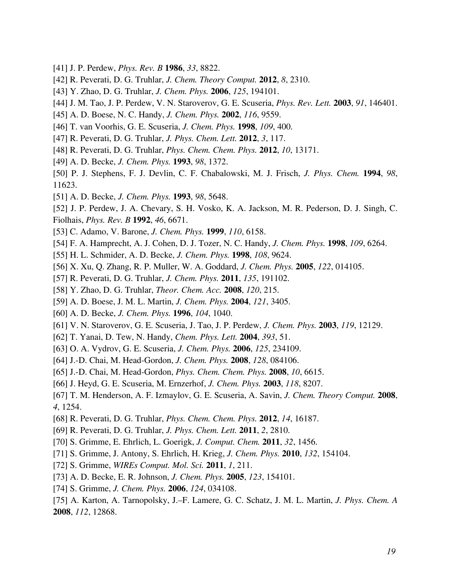- [41] J. P. Perdew, *Phys. Rev. B* **1986**, *33*, 8822.
- [42] R. Peverati, D. G. Truhlar, *J. Chem. Theory Comput.* **2012**, *8*, 2310.
- [43] Y. Zhao, D. G. Truhlar, *J. Chem. Phys.* **2006**, *125*, 194101.
- [44] J. M. Tao, J. P. Perdew, V. N. Staroverov, G. E. Scuseria, *Phys. Rev. Lett.* **2003**, *91*, 146401.
- [45] A. D. Boese, N. C. Handy, *J. Chem. Phys.* **2002**, *116*, 9559.
- [46] T. van Voorhis, G. E. Scuseria, *J. Chem. Phys.* **1998**, *109*, 400.
- [47] R. Peverati, D. G. Truhlar, *J. Phys. Chem. Lett.* **2012**, *3*, 117.
- [48] R. Peverati, D. G. Truhlar, *Phys. Chem. Chem. Phys.* **2012**, *10*, 13171.
- [49] A. D. Becke, *J. Chem. Phys.* **1993**, *98*, 1372.
- [50] P. J. Stephens, F. J. Devlin, C. F. Chabalowski, M. J. Frisch, *J. Phys. Chem.* **1994**, *98*, 11623.
- [51] A. D. Becke, *J. Chem. Phys.* **1993**, *98*, 5648.

[52] J. P. Perdew, J. A. Chevary, S. H. Vosko, K. A. Jackson, M. R. Pederson, D. J. Singh, C. Fiolhais, *Phys. Rev. B* **1992**, *46*, 6671.

- [53] C. Adamo, V. Barone, *J. Chem. Phys.* **1999**, *110*, 6158.
- [54] F. A. Hamprecht, A. J. Cohen, D. J. Tozer, N. C. Handy, *J. Chem. Phys.* **1998**, *109*, 6264.
- [55] H. L. Schmider, A. D. Becke, *J. Chem. Phys.* **1998**, *108*, 9624.
- [56] X. Xu, Q. Zhang, R. P. Muller, W. A. Goddard, *J. Chem. Phys.* **2005**, *122*, 014105.
- [57] R. Peverati, D. G. Truhlar, *J. Chem. Phys.* **2011**, *135*, 191102.
- [58] Y. Zhao, D. G. Truhlar, *Theor. Chem. Acc.* **2008**, *120*, 215.
- [59] A. D. Boese, J. M. L. Martin, *J. Chem. Phys.* **2004**, *121*, 3405.
- [60] A. D. Becke, *J. Chem. Phys.* **1996**, *104*, 1040.
- [61] V. N. Staroverov, G. E. Scuseria, J. Tao, J. P. Perdew, *J. Chem. Phys.* **2003**, *119*, 12129.
- [62] T. Yanai, D. Tew, N. Handy, *Chem. Phys. Lett.* **2004**, *393*, 51.
- [63] O. A. Vydrov, G. E. Scuseria, *J. Chem. Phys.* **2006**, *125*, 234109.
- [64] J.-D. Chai, M. Head-Gordon, *J. Chem. Phys.* **2008**, *128*, 084106.
- [65] J.-D. Chai, M. Head-Gordon, *Phys. Chem. Chem. Phys.* **2008**, *10*, 6615.
- [66] J. Heyd, G. E. Scuseria, M. Ernzerhof, *J. Chem. Phys.* **2003**, *118*, 8207.
- [67] T. M. Henderson, A. F. Izmaylov, G. E. Scuseria, A. Savin, *J. Chem. Theory Comput.* **2008**, *4*, 1254.
- [68] R. Peverati, D. G. Truhlar, *Phys. Chem. Chem. Phys.* **2012**, *14*, 16187.
- [69] R. Peverati, D. G. Truhlar, *J. Phys. Chem. Lett.* **2011**, *2*, 2810.
- [70] S. Grimme, E. Ehrlich, L. Goerigk, *J. Comput. Chem.* **2011**, *32*, 1456.
- [71] S. Grimme, J. Antony, S. Ehrlich, H. Krieg, *J. Chem. Phys.* **2010**, *132*, 154104.
- [72] S. Grimme, *WIREs Comput. Mol. Sci.* **2011**, *1*, 211.
- [73] A. D. Becke, E. R. Johnson, *J. Chem. Phys.* **2005**, *123*, 154101.
- [74] S. Grimme, *J. Chem. Phys.* **2006**, *124*, 034108.
- [75] A. Karton, A. Tarnopolsky, J.–F. Lamere, G. C. Schatz, J. M. L. Martin, *J. Phys. Chem. A* **2008**, *112*, 12868.